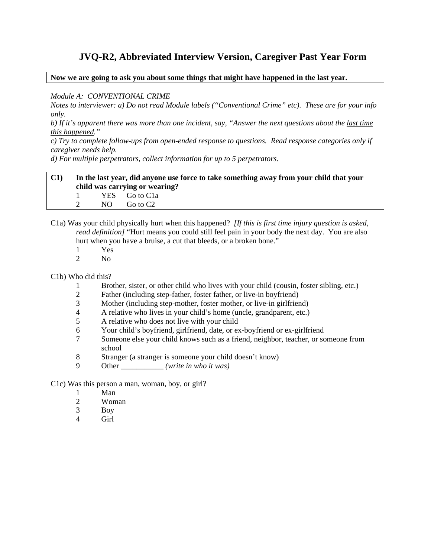# **JVQ-R2, Abbreviated Interview Version, Caregiver Past Year Form**

**Now we are going to ask you about some things that might have happened in the last year.** 

#### *Module A: CONVENTIONAL CRIME*

*Notes to interviewer: a) Do not read Module labels ("Conventional Crime" etc). These are for your info only.* 

*b) If it's apparent there was more than one incident, say, "Answer the next questions about the last time this happened."* 

*c) Try to complete follow-ups from open-ended response to questions. Read response categories only if caregiver needs help.* 

*d) For multiple perpetrators, collect information for up to 5 perpetrators.* 

# **C1) In the last year, did anyone use force to take something away from your child that your child was carrying or wearing?**

1 YES Go to C1a 2 NO Go to C2

- C1a) Was your child physically hurt when this happened? *[If this is first time injury question is asked, read definition]* "Hurt means you could still feel pain in your body the next day. You are also hurt when you have a bruise, a cut that bleeds, or a broken bone."
	- 1 Yes
	- 2 No

#### C1b) Who did this?

- 1 Brother, sister, or other child who lives with your child (cousin, foster sibling, etc.)
- 2 Father (including step-father, foster father, or live-in boyfriend)
- 3 Mother (including step-mother, foster mother, or live-in girlfriend)
- 4 A relative who lives in your child's home (uncle, grandparent, etc.)
- 5 A relative who does not live with your child
- 6 Your child's boyfriend, girlfriend, date, or ex-boyfriend or ex-girlfriend
- 7 Someone else your child knows such as a friend, neighbor, teacher, or someone from school
- 8 Stranger (a stranger is someone your child doesn't know)
- 9 Other \_\_\_\_\_\_\_\_\_\_\_ *(write in who it was)*

### C1c) Was this person a man, woman, boy, or girl?

- 1 Man
- 2 Woman
- 3 Boy
- 4 Girl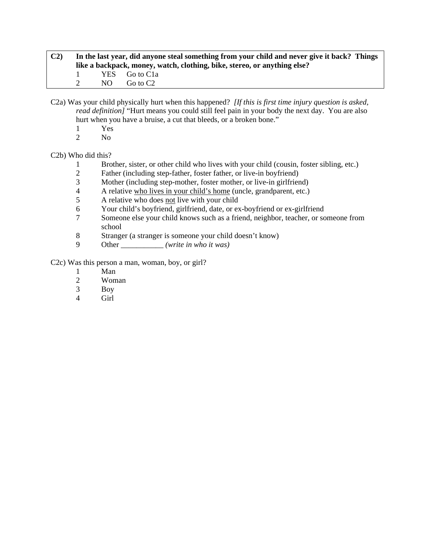| C <sub>2</sub> | In the last year, did anyone steal something from your child and never give it back? Things<br>like a backpack, money, watch, clothing, bike, stereo, or anything else? |  |                              |  |  |
|----------------|-------------------------------------------------------------------------------------------------------------------------------------------------------------------------|--|------------------------------|--|--|
|                |                                                                                                                                                                         |  | YES Go to C1a<br>NO Go to C2 |  |  |

C2a) Was your child physically hurt when this happened? *[If this is first time injury question is asked, read definition]* "Hurt means you could still feel pain in your body the next day. You are also hurt when you have a bruise, a cut that bleeds, or a broken bone."

- $\frac{1}{2}$  Yes
- N<sub>o</sub>

C2b) Who did this?

- 1 Brother, sister, or other child who lives with your child (cousin, foster sibling, etc.)
- 2 Father (including step-father, foster father, or live-in boyfriend)
- 3 Mother (including step-mother, foster mother, or live-in girlfriend)<br>4 A relative who lives in your child's home (uncle, grandparent, etc.)
- 4 A relative who lives in your child's home (uncle, grandparent, etc.)
- 5 A relative who does not live with your child
- 6 Your child's boyfriend, girlfriend, date, or ex-boyfriend or ex-girlfriend
- 7 Someone else your child knows such as a friend, neighbor, teacher, or someone from school
- 8 Stranger (a stranger is someone your child doesn't know)
- 9 Other \_\_\_\_\_\_\_\_\_\_\_ *(write in who it was)*

C2c) Was this person a man, woman, boy, or girl?

- 1 Man<br>2 Wom
- Woman
- 3 Boy
- 4 Girl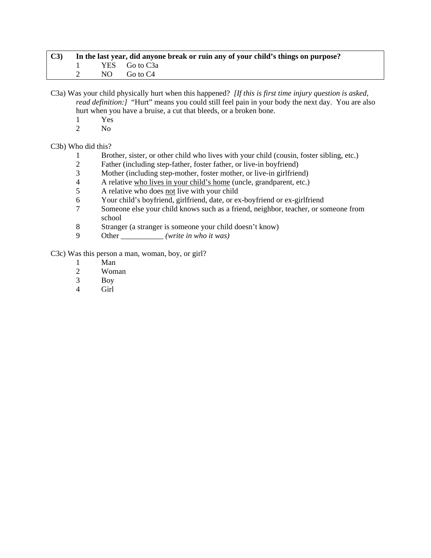| C3 | In the last year, did anyone break or ruin any of your child's things on purpose? |  |               |  |  |
|----|-----------------------------------------------------------------------------------|--|---------------|--|--|
|    |                                                                                   |  | YES Go to C3a |  |  |
|    |                                                                                   |  | NO Go to C4   |  |  |

C3a) Was your child physically hurt when this happened? *[If this is first time injury question is asked, read definition:]* "Hurt" means you could still feel pain in your body the next day. You are also hurt when you have a bruise, a cut that bleeds, or a broken bone.

- $\frac{1}{2}$  Yes
- N<sub>o</sub>

#### C3b) Who did this?

- 1 Brother, sister, or other child who lives with your child (cousin, foster sibling, etc.)
- 2 Father (including step-father, foster father, or live-in boyfriend)
- 3 Mother (including step-mother, foster mother, or live-in girlfriend)
- 4 A relative who lives in your child's home (uncle, grandparent, etc.)<br>
A relative who does not live with your child
- 5 A relative who does not live with your child
- 6 Your child's boyfriend, girlfriend, date, or ex-boyfriend or ex-girlfriend
- 7 Someone else your child knows such as a friend, neighbor, teacher, or someone from school
- 8 Stranger (a stranger is someone your child doesn't know)
- 9 Other \_\_\_\_\_\_\_\_\_\_\_ *(write in who it was)*

C3c) Was this person a man, woman, boy, or girl?

- 1 Man
- 2 Woman<br>3 Boy
- Boy
- 4 Girl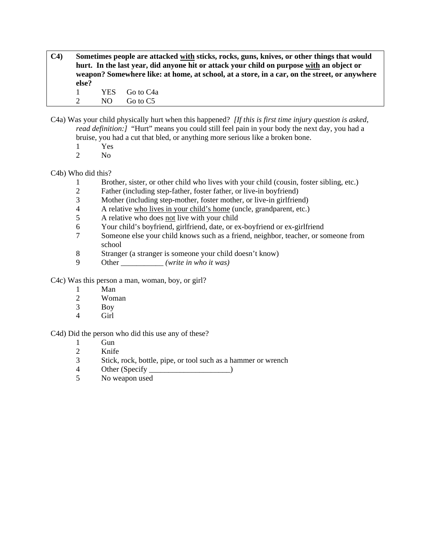**C4) Sometimes people are attacked with sticks, rocks, guns, knives, or other things that would hurt. In the last year, did anyone hit or attack your child on purpose with an object or weapon? Somewhere like: at home, at school, at a store, in a car, on the street, or anywhere else?** 

1 YES Go to C4a 2 NO Go to C5

- C4a) Was your child physically hurt when this happened? *[If this is first time injury question is asked, read definition:]* "Hurt" means you could still feel pain in your body the next day, you had a bruise, you had a cut that bled, or anything more serious like a broken bone.
	- 1 Yes<br>2 No
	- N<sub>o</sub>

# C4b) Who did this?

- 1 Brother, sister, or other child who lives with your child (cousin, foster sibling, etc.)
- 2 Father (including step-father, foster father, or live-in boyfriend)
- 3 Mother (including step-mother, foster mother, or live-in girlfriend)
- 4 A relative who lives in your child's home (uncle, grandparent, etc.)<br>5 A relative who does not live with your child
- 5 A relative who does not live with your child
- 6 Your child's boyfriend, girlfriend, date, or ex-boyfriend or ex-girlfriend
- 7 Someone else your child knows such as a friend, neighbor, teacher, or someone from school
- 8 Stranger (a stranger is someone your child doesn't know)
- 9 Other \_\_\_\_\_\_\_\_\_\_\_ *(write in who it was)*
- C4c) Was this person a man, woman, boy, or girl?
	- 1 Man
	- 2 Woman
	- 3 Boy
	- 4 Girl

# C4d) Did the person who did this use any of these?

- 1 Gun<br>2 Knife
- **Knife**
- 3 Stick, rock, bottle, pipe, or tool such as a hammer or wrench
- 4 Other (Specify )
- 5 No weapon used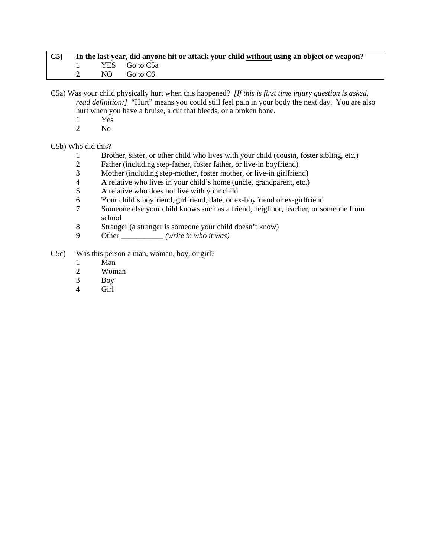| $\mathbf{C5}$ | In the last year, did anyone hit or attack your child without using an object or weapon? |  |                 |  |  |  |
|---------------|------------------------------------------------------------------------------------------|--|-----------------|--|--|--|
|               |                                                                                          |  | 1 YES Go to C5a |  |  |  |
|               |                                                                                          |  | 2 $NO$ Go to C6 |  |  |  |

C5a) Was your child physically hurt when this happened? *[If this is first time injury question is asked, read definition:]* "Hurt" means you could still feel pain in your body the next day. You are also hurt when you have a bruise, a cut that bleeds, or a broken bone.

- $\frac{1}{2}$  Yes
- N<sub>o</sub>

#### C5b) Who did this?

- 1 Brother, sister, or other child who lives with your child (cousin, foster sibling, etc.)
- 2 Father (including step-father, foster father, or live-in boyfriend)
- 3 Mother (including step-mother, foster mother, or live-in girlfriend)
- 4 A relative who lives in your child's home (uncle, grandparent, etc.)<br>5 A relative who does not live with your child
- 5 A relative who does not live with your child
- 6 Your child's boyfriend, girlfriend, date, or ex-boyfriend or ex-girlfriend
- 7 Someone else your child knows such as a friend, neighbor, teacher, or someone from school
- 8 Stranger (a stranger is someone your child doesn't know)
- 9 Other \_\_\_\_\_\_\_\_\_\_\_ *(write in who it was)*
- C5c) Was this person a man, woman, boy, or girl?
	- 1 Man
	- 2 Woman
	- 3 Boy
	- 4 Girl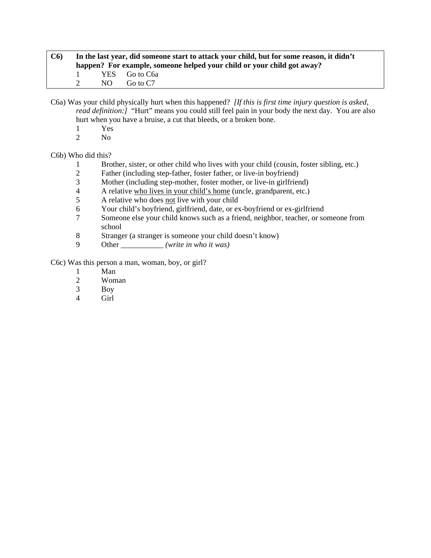| C6 |     | In the last year, did someone start to attack your child, but for some reason, it didn't<br>happen? For example, someone helped your child or your child got away? |
|----|-----|--------------------------------------------------------------------------------------------------------------------------------------------------------------------|
|    |     | YES Go to C6a                                                                                                                                                      |
|    | NO. | Go to C7                                                                                                                                                           |

C6a) Was your child physically hurt when this happened? *[If this is first time injury question is asked, read definition:]* "Hurt" means you could still feel pain in your body the next day. You are also hurt when you have a bruise, a cut that bleeds, or a broken bone.

- $\frac{1}{2}$  Yes
- N<sub>o</sub>

C6b) Who did this?

- 1 Brother, sister, or other child who lives with your child (cousin, foster sibling, etc.)
- 2 Father (including step-father, foster father, or live-in boyfriend)
- 3 Mother (including step-mother, foster mother, or live-in girlfriend)<br>4 A relative who lives in your child's home (uncle, grandparent, etc.)
- 4 A relative who lives in your child's home (uncle, grandparent, etc.)
- 5 A relative who does not live with your child
- 6 Your child's boyfriend, girlfriend, date, or ex-boyfriend or ex-girlfriend
- 7 Someone else your child knows such as a friend, neighbor, teacher, or someone from school
- 8 Stranger (a stranger is someone your child doesn't know)
- 9 Other \_\_\_\_\_\_\_\_\_\_\_ *(write in who it was)*

C6c) Was this person a man, woman, boy, or girl?

- 1 Man<br>2 Wom
- Woman
- 3 Boy
- 4 Girl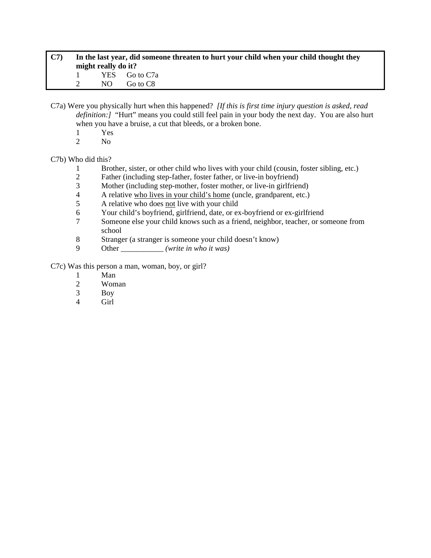| C7 | In the last year, did someone threaten to hurt your child when your child thought they<br>might really do it? |  |               |  |  |
|----|---------------------------------------------------------------------------------------------------------------|--|---------------|--|--|
|    |                                                                                                               |  | YES Go to C7a |  |  |
|    |                                                                                                               |  | NO Go to C8   |  |  |

C7a) Were you physically hurt when this happened? *[If this is first time injury question is asked, read definition:]* "Hurt" means you could still feel pain in your body the next day. You are also hurt when you have a bruise, a cut that bleeds, or a broken bone.

- 1 Yes
- 2 No

#### C7b) Who did this?

- 1 Brother, sister, or other child who lives with your child (cousin, foster sibling, etc.)
- 2 Father (including step-father, foster father, or live-in boyfriend)
- 3 Mother (including step-mother, foster mother, or live-in girlfriend)
- 4 A relative who lives in your child's home (uncle, grandparent, etc.)
- 5 A relative who does not live with your child
- 6 Your child's boyfriend, girlfriend, date, or ex-boyfriend or ex-girlfriend
- 7 Someone else your child knows such as a friend, neighbor, teacher, or someone from school
- 8 Stranger (a stranger is someone your child doesn't know)
- 9 Other \_\_\_\_\_\_\_\_\_\_\_ *(write in who it was)*

C7c) Was this person a man, woman, boy, or girl?

- 1 Man<br>2 Wom
- Woman
- 3 Boy
- 4 Girl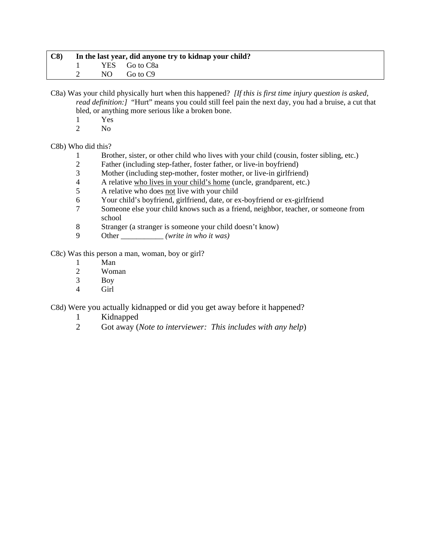| C8 | In the last year, did anyone try to kidnap your child? |  |               |  |  |  |
|----|--------------------------------------------------------|--|---------------|--|--|--|
|    |                                                        |  | YES Go to C8a |  |  |  |
|    |                                                        |  | NO Go to C9   |  |  |  |

C8a) Was your child physically hurt when this happened? *[If this is first time injury question is asked, read definition:]* "Hurt" means you could still feel pain the next day, you had a bruise, a cut that bled, or anything more serious like a broken bone.

- $\frac{1}{2}$  Yes
- N<sub>o</sub>

#### C8b) Who did this?

- 1 Brother, sister, or other child who lives with your child (cousin, foster sibling, etc.)
- 2 Father (including step-father, foster father, or live-in boyfriend)
- 3 Mother (including step-mother, foster mother, or live-in girlfriend)
- 4 A relative who lives in your child's home (uncle, grandparent, etc.)<br>5 A relative who does not live with your child
- 5 A relative who does not live with your child
- 6 Your child's boyfriend, girlfriend, date, or ex-boyfriend or ex-girlfriend
- 7 Someone else your child knows such as a friend, neighbor, teacher, or someone from school
- 8 Stranger (a stranger is someone your child doesn't know)
- 9 Other \_\_\_\_\_\_\_\_\_\_\_ *(write in who it was)*

C8c) Was this person a man, woman, boy or girl?

- 1 Man
- 2 Woman<br>3 Boy
- **Boy**
- 4 Girl

C8d) Were you actually kidnapped or did you get away before it happened?

- 1 Kidnapped
- 2 Got away (*Note to interviewer: This includes with any help*)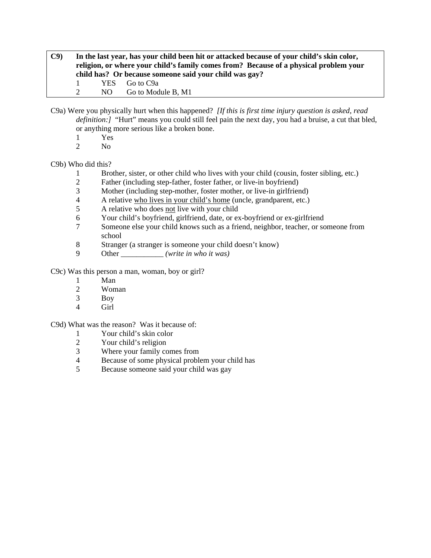**C9) In the last year, has your child been hit or attacked because of your child's skin color, religion, or where your child's family comes from? Because of a physical problem your child has? Or because someone said your child was gay?**  1 YES Go to C9a 2 NO Go to Module B, M1

C9a) Were you physically hurt when this happened? *[If this is first time injury question is asked, read definition:]* "Hurt" means you could still feel pain the next day, you had a bruise, a cut that bled, or anything more serious like a broken bone.

- 1 Yes
- 2 No

# C9b) Who did this?

- 1 Brother, sister, or other child who lives with your child (cousin, foster sibling, etc.)
- 2 Father (including step-father, foster father, or live-in boyfriend)
- 3 Mother (including step-mother, foster mother, or live-in girlfriend)
- 4 A relative who lives in your child's home (uncle, grandparent, etc.)
- 5 A relative who does not live with your child
- 6 Your child's boyfriend, girlfriend, date, or ex-boyfriend or ex-girlfriend
- 7 Someone else your child knows such as a friend, neighbor, teacher, or someone from school
- 8 Stranger (a stranger is someone your child doesn't know)
- 9 Other \_\_\_\_\_\_\_\_\_\_\_ *(write in who it was)*

C9c) Was this person a man, woman, boy or girl?

- 1 Man
- 2 Woman
- 3 Boy
- 4 Girl

# C9d) What was the reason? Was it because of:

- 1 Your child's skin color<br>2 Your child's religion
- Your child's religion
- 3 Where your family comes from
- 4 Because of some physical problem your child has
- 5 Because someone said your child was gay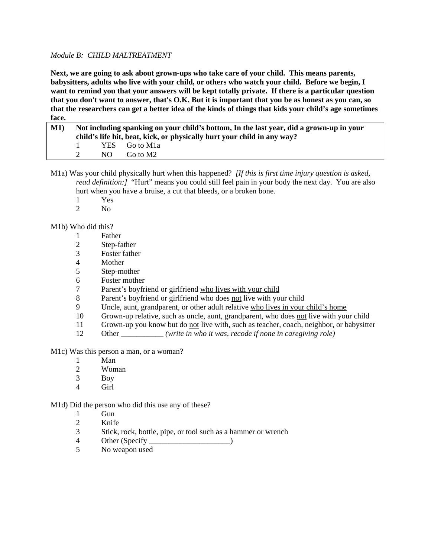# *Module B: CHILD MALTREATMENT*

**Next, we are going to ask about grown-ups who take care of your child. This means parents, babysitters, adults who live with your child, or others who watch your child. Before we begin, I want to remind you that your answers will be kept totally private. If there is a particular question that you don't want to answer, that's O.K. But it is important that you be as honest as you can, so that the researchers can get a better idea of the kinds of things that kids your child's age sometimes face.** 

| M1 | Not including spanking on your child's bottom, In the last year, did a grown-up in your<br>child's life hit, beat, kick, or physically hurt your child in any way? |     |                            |  |
|----|--------------------------------------------------------------------------------------------------------------------------------------------------------------------|-----|----------------------------|--|
|    | $\mathbf{I}$                                                                                                                                                       |     | YES Go to M <sub>1</sub> a |  |
|    |                                                                                                                                                                    | NO. | Go to M2                   |  |

- M1a) Was your child physically hurt when this happened? *[If this is first time injury question is asked, read definition:]* "Hurt" means you could still feel pain in your body the next day. You are also hurt when you have a bruise, a cut that bleeds, or a broken bone.
	- 1 Yes
	- 2 No

M1b) Who did this?

- 1 Father
- 2 Step-father
- 3 Foster father
- 4 Mother
- 5 Step-mother
- 6 Foster mother
- 7 Parent's boyfriend or girlfriend who lives with your child
- 8 Parent's boyfriend or girlfriend who does not live with your child
- 9 Uncle, aunt, grandparent, or other adult relative who lives in your child's home
- 10 Grown-up relative, such as uncle, aunt, grandparent, who does not live with your child
- 11 Grown-up you know but do not live with, such as teacher, coach, neighbor, or babysitter
- 12 Other \_\_\_\_\_\_\_\_\_\_\_ *(write in who it was, recode if none in caregiving role)*

M1c) Was this person a man, or a woman?

- 1 Man
- 2 Woman
- 3 Boy
- 4 Girl

M1d) Did the person who did this use any of these?

- 1 Gun
- 2 Knife
- 3 Stick, rock, bottle, pipe, or tool such as a hammer or wrench
- 4 Other (Specify \_\_\_\_\_\_\_\_\_\_\_\_\_\_\_\_\_\_\_\_\_)
- 5 No weapon used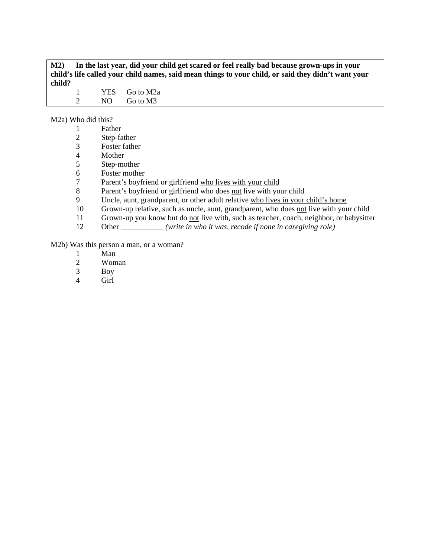**M2) In the last year, did your child get scared or feel really bad because grown-ups in your child's life called your child names, said mean things to your child, or said they didn't want your child?**

1 YES Go to M2a 2 NO Go to M3

M2a) Who did this?

|    | Father                                                                                  |
|----|-----------------------------------------------------------------------------------------|
| 2  | Step-father                                                                             |
| 3  | Foster father                                                                           |
| 4  | Mother                                                                                  |
| 5  | Step-mother                                                                             |
| 6  | Foster mother                                                                           |
| 7  | Parent's boyfriend or girlfriend who lives with your child                              |
| 8  | Parent's boyfriend or girlfriend who does not live with your child                      |
| 9  | Uncle, aunt, grandparent, or other adult relative who lives in your child's home        |
| 10 | Grown-up relative, such as uncle, aunt, grandparent, who does not live with your child  |
| 11 | Grown-up you know but do not live with, such as teacher, coach, neighbor, or babysitter |
| 12 | (write in who it was, recode if none in caregiving role)<br>Other                       |
|    |                                                                                         |

M2b) Was this person a man, or a woman?

- 1 Man<br>2 Wom
- 2 Woman<br>3 Boy
- 3 Boy
- Girl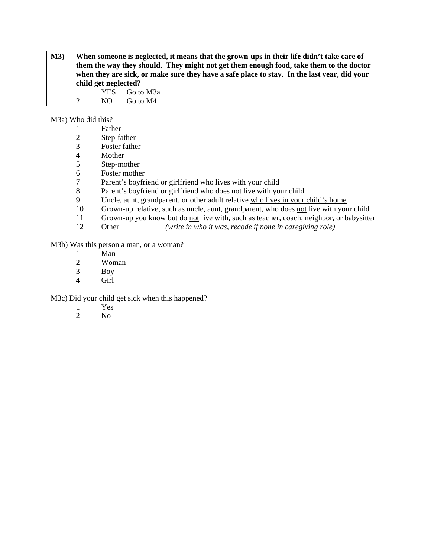**M3) When someone is neglected, it means that the grown-ups in their life didn't take care of them the way they should. They might not get them enough food, take them to the doctor when they are sick, or make sure they have a safe place to stay. In the last year, did your child get neglected?** 

1 YES Go to M3a 2 NO Go to M4

M3a) Who did this?

- 2 Step-father
- 3 Foster father
- **Mother**
- 5 Step-mother
- 6 Foster mother
- 7 Parent's boyfriend or girlfriend who lives with your child
- 8 Parent's boyfriend or girlfriend who does not live with your child
- 9 Uncle, aunt, grandparent, or other adult relative who lives in your child's home
- 10 Grown-up relative, such as uncle, aunt, grandparent, who does not live with your child
- 11 Grown-up you know but do not live with, such as teacher, coach, neighbor, or babysitter
- 12 Other *(write in who it was, recode if none in caregiving role)*

M3b) Was this person a man, or a woman?

- 1 Man<br>2 Wom
- Woman
- 3 Boy
- 4 Girl

M3c) Did your child get sick when this happened?

- 1 Yes
- 2 No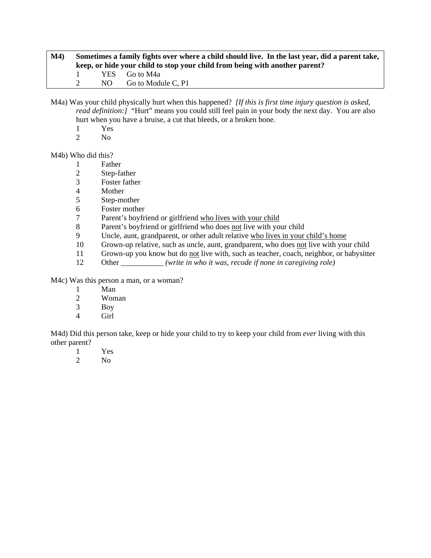| M4) | Sometimes a family fights over where a child should live. In the last year, did a parent take,<br>keep, or hide your child to stop your child from being with another parent? |  |                                        |  |
|-----|-------------------------------------------------------------------------------------------------------------------------------------------------------------------------------|--|----------------------------------------|--|
|     |                                                                                                                                                                               |  | YES Go to M4a<br>NO Go to Module C. P1 |  |

M4a) Was your child physically hurt when this happened? *[If this is first time injury question is asked, read definition:]* "Hurt" means you could still feel pain in your body the next day. You are also hurt when you have a bruise, a cut that bleeds, or a broken bone.

- $\frac{1}{2}$  Yes
- N<sub>o</sub>

M4b) Who did this?

- 1 Father
- 2 Step-father
- 3 Foster father
- **Mother**
- 5 Step-mother
- 6 Foster mother<br>7 Parent's boyfri
- Parent's boyfriend or girlfriend who lives with your child
- 8 Parent's boyfriend or girlfriend who does not live with your child
- 9 Uncle, aunt, grandparent, or other adult relative who lives in your child's home
- 10 Grown-up relative, such as uncle, aunt, grandparent, who does not live with your child
- 11 Grown-up you know but do not live with, such as teacher, coach, neighbor, or babysitter
- 12 Other \_\_\_\_\_\_\_\_\_\_\_ *(write in who it was, recode if none in caregiving role)*

M4c) Was this person a man, or a woman?

- 1 Man
- 2 Woman
- 3 Boy
- 4 Girl

M4d) Did this person take, keep or hide your child to try to keep your child from *ever* living with this other parent?

- 1 Yes
- 2 No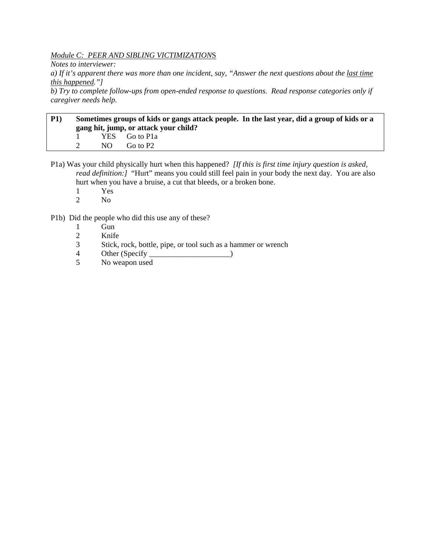*Module C: PEER AND SIBLING VICTIMIZATION*S

*Notes to interviewer:* 

*a) If it's apparent there was more than one incident, say, "Answer the next questions about the last time this happened."]* 

*b) Try to complete follow-ups from open-ended response to questions. Read response categories only if caregiver needs help.* 

# **P1) Sometimes groups of kids or gangs attack people. In the last year, did a group of kids or a gang hit, jump, or attack your child?**  1 YES Go to P1a 2 NO Go to P2

P1a) Was your child physically hurt when this happened? *[If this is first time injury question is asked, read definition:]* "Hurt" means you could still feel pain in your body the next day. You are also hurt when you have a bruise, a cut that bleeds, or a broken bone.

- 1 Yes
- 2 No

P1b) Did the people who did this use any of these?

- 1 Gun
- 2 Knife
- 3 Stick, rock, bottle, pipe, or tool such as a hammer or wrench
- 4 Other (Specify \_\_\_\_\_\_\_\_\_\_\_\_\_\_\_\_\_\_\_\_\_\_\_\_\_\_\_)
- 5 No weapon used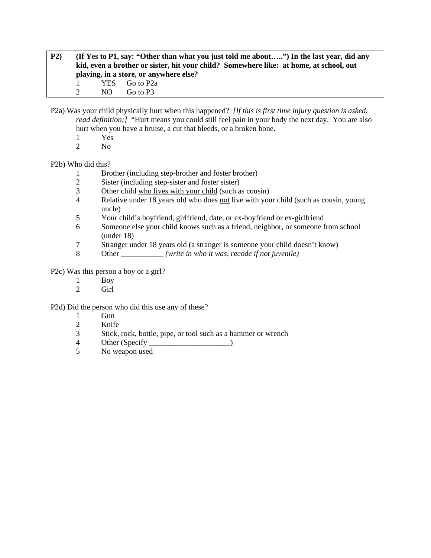**P2) (If Yes to P1, say: "Other than what you just told me about…..") In the last year, did any kid, even a brother or sister, hit your child? Somewhere like: at home, at school, out playing, in a store, or anywhere else?**  1 YES Go to P2a 2 NO Go to P3

P2a) Was your child physically hurt when this happened? *[If this is first time injury question is asked, read definition:]* "Hurt means you could still feel pain in your body the next day. You are also hurt when you have a bruise, a cut that bleeds, or a broken bone.

- 1 Yes
- 2 No

#### P2b) Who did this?

- 1 Brother (including step-brother and foster brother)
- 2 Sister (including step-sister and foster sister)<br>3 Other child who lives with your child (such a
- Other child who lives with your child (such as cousin)
- 4 Relative under 18 years old who does not live with your child (such as cousin, young uncle)
- 5 Your child's boyfriend, girlfriend, date, or ex-boyfriend or ex-girlfriend
- 6 Someone else your child knows such as a friend, neighbor, or someone from school (under 18)
- 7 Stranger under 18 years old (a stranger is someone your child doesn't know)
- 8 Other \_\_\_\_\_\_\_\_\_\_\_ *(write in who it was, recode if not juvenile)*

P2c) Was this person a boy or a girl?

- 1 Boy
- 2 Girl

P2d) Did the person who did this use any of these?

- 1 Gun
- 2 Knife
- 3 Stick, rock, bottle, pipe, or tool such as a hammer or wrench
- 4 Other (Specify \_\_\_\_\_\_\_\_\_\_\_\_\_\_\_\_\_\_\_\_\_\_\_\_\_\_\_)
- 5 No weapon used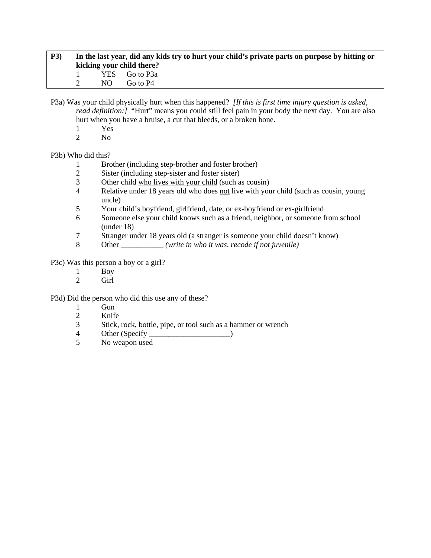| P3) | In the last year, did any kids try to hurt your child's private parts on purpose by hitting or |     |                           |  |  |
|-----|------------------------------------------------------------------------------------------------|-----|---------------------------|--|--|
|     |                                                                                                |     | kicking your child there? |  |  |
|     |                                                                                                |     | YES Go to P3a             |  |  |
|     |                                                                                                | NO. | Go to P4                  |  |  |

P3a) Was your child physically hurt when this happened? *[If this is first time injury question is asked, read definition:]* "Hurt" means you could still feel pain in your body the next day. You are also hurt when you have a bruise, a cut that bleeds, or a broken bone.

- $\frac{1}{2}$  Yes
- N<sub>o</sub>

P3b) Who did this?

- 1 Brother (including step-brother and foster brother)
- 2 Sister (including step-sister and foster sister)
- 3 Other child who lives with your child (such as cousin)
- 4 Relative under 18 years old who does not live with your child (such as cousin, young uncle)
- 5 Your child's boyfriend, girlfriend, date, or ex-boyfriend or ex-girlfriend
- 6 Someone else your child knows such as a friend, neighbor, or someone from school (under 18)
- 7 Stranger under 18 years old (a stranger is someone your child doesn't know)
- 8 Other \_\_\_\_\_\_\_\_\_\_\_ *(write in who it was, recode if not juvenile)*

P3c) Was this person a boy or a girl?

- 1 Boy<br>2 Girl
- Girl

P3d) Did the person who did this use any of these?

- 1 Gun
- 2 Knife
- 3 Stick, rock, bottle, pipe, or tool such as a hammer or wrench
- 4 Other (Specify )
- 5 No weapon used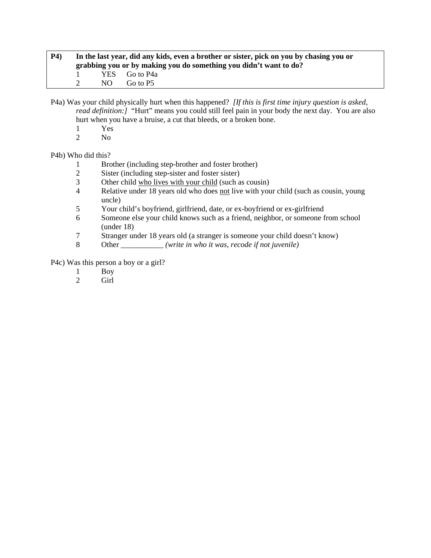| <b>P4</b> ) | In the last year, did any kids, even a brother or sister, pick on you by chasing you or<br>grabbing you or by making you do something you didn't want to do? |     |                           |  |  |
|-------------|--------------------------------------------------------------------------------------------------------------------------------------------------------------|-----|---------------------------|--|--|
|             |                                                                                                                                                              | NO. | YES Go to P4a<br>Go to P5 |  |  |

P4a) Was your child physically hurt when this happened? *[If this is first time injury question is asked, read definition:]* "Hurt" means you could still feel pain in your body the next day. You are also hurt when you have a bruise, a cut that bleeds, or a broken bone.

- $\frac{1}{2}$  Yes
- N<sub>o</sub>

P4b) Who did this?

- 1 Brother (including step-brother and foster brother)
- 2 Sister (including step-sister and foster sister)
- 3 Other child who lives with your child (such as cousin)<br>4 Relative under 18 years old who does not live with you
- Relative under 18 years old who does not live with your child (such as cousin, young uncle)
- 5 Your child's boyfriend, girlfriend, date, or ex-boyfriend or ex-girlfriend
- 6 Someone else your child knows such as a friend, neighbor, or someone from school (under 18)
- 7 Stranger under 18 years old (a stranger is someone your child doesn't know)
- 8 Other \_\_\_\_\_\_\_\_\_\_\_ *(write in who it was, recode if not juvenile)*

P4c) Was this person a boy or a girl?

- 1 Boy<br>2 Girl
- Girl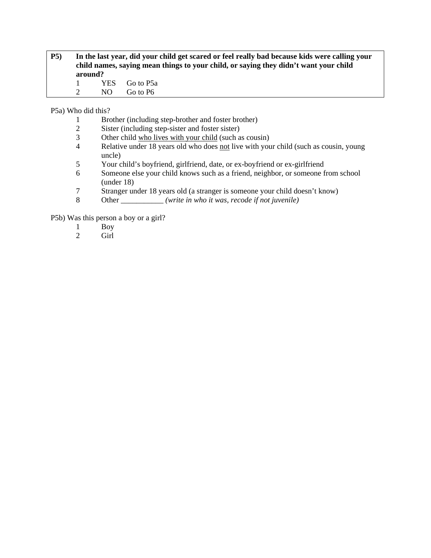| <b>P5</b> ) | In the last year, did your child get scared or feel really bad because kids were calling your |     |               |  |
|-------------|-----------------------------------------------------------------------------------------------|-----|---------------|--|
|             | child names, saying mean things to your child, or saying they didn't want your child          |     |               |  |
|             | around?                                                                                       |     |               |  |
|             | $\mathbf{1}$                                                                                  |     | YES Go to P5a |  |
|             | $\mathcal{D}$                                                                                 | NO. | Go to P6      |  |

P5a) Who did this?

- 1 Brother (including step-brother and foster brother)<br>2 Sister (including step-sister and foster sister)
- 2 Sister (including step-sister and foster sister)<br>3 Other child who lives with your child (such a
- 3 Other child who lives with your child (such as cousin)<br>4 Relative under 18 years old who does not live with you
- Relative under 18 years old who does not live with your child (such as cousin, young uncle)
- 5 Your child's boyfriend, girlfriend, date, or ex-boyfriend or ex-girlfriend
- 6 Someone else your child knows such as a friend, neighbor, or someone from school (under 18)
- 7 Stranger under 18 years old (a stranger is someone your child doesn't know)
- 8 Other *(write in who it was, recode if not juvenile)*

P5b) Was this person a boy or a girl?

- 1 Boy
- 2 Girl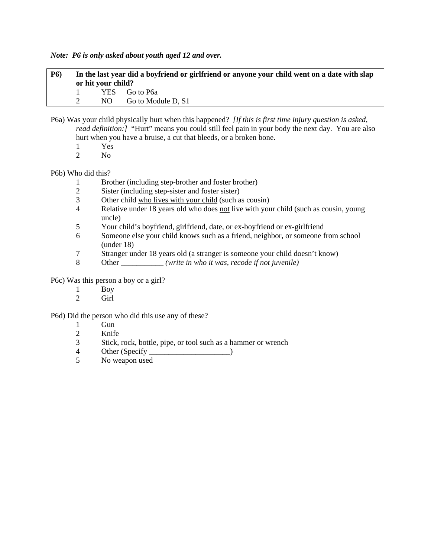*Note: P6 is only asked about youth aged 12 and over.* 

**P6) In the last year did a boyfriend or girlfriend or anyone your child went on a date with slap or hit your child?**  1 YES Go to P6a 2 NO Go to Module D, S1

- P6a) Was your child physically hurt when this happened? *[If this is first time injury question is asked, read definition:]* "Hurt" means you could still feel pain in your body the next day. You are also hurt when you have a bruise, a cut that bleeds, or a broken bone.
	- 1 Yes<br>2 No
	- $N<sub>0</sub>$

P6b) Who did this?

- 1 Brother (including step-brother and foster brother)
- 2 Sister (including step-sister and foster sister)
- 3 Other child who lives with your child (such as cousin)
- 4 Relative under 18 years old who does not live with your child (such as cousin, young uncle)
- 5 Your child's boyfriend, girlfriend, date, or ex-boyfriend or ex-girlfriend
- 6 Someone else your child knows such as a friend, neighbor, or someone from school (under 18)
- 7 Stranger under 18 years old (a stranger is someone your child doesn't know)
- 8 Other \_\_\_\_\_\_\_\_\_\_\_ *(write in who it was, recode if not juvenile)*

P6c) Was this person a boy or a girl?

- 1 Boy
- 2 Girl

P6d) Did the person who did this use any of these?

- 1 Gun<br>2 Knife
- Knife
- 3 Stick, rock, bottle, pipe, or tool such as a hammer or wrench
- 4 Other (Specify )
- 5 No weapon used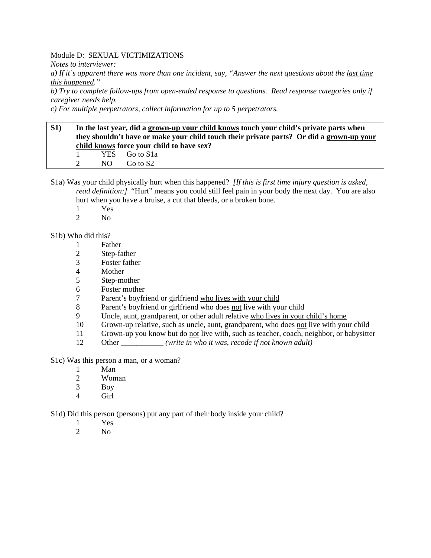# Module D: SEXUAL VICTIMIZATIONS

*Notes to interviewer:* 

*a) If it's apparent there was more than one incident, say, "Answer the next questions about the last time this happened."* 

*b) Try to complete follow-ups from open-ended response to questions. Read response categories only if caregiver needs help.* 

*c) For multiple perpetrators, collect information for up to 5 perpetrators.* 

# **S1) In the last year, did a grown-up your child knows touch your child's private parts when they shouldn't have or make your child touch their private parts? Or did a grown-up your child knows force your child to have sex?**  1 YES Go to S1a 2 NO Go to S2

S1a) Was your child physically hurt when this happened? *[If this is first time injury question is asked, read definition:]* "Hurt" means you could still feel pain in your body the next day. You are also hurt when you have a bruise, a cut that bleeds, or a broken bone.

- $\frac{1}{2}$  Yes
- N<sub>o</sub>

#### S1b) Who did this?

- 1 Father
- 2 Step-father
- 3 Foster father
- 4 Mother
- 5 Step-mother
- 6 Foster mother
- 7 Parent's boyfriend or girlfriend who lives with your child
- 8 Parent's boyfriend or girlfriend who does not live with your child
- 9 Uncle, aunt, grandparent, or other adult relative who lives in your child's home
- 10 Grown-up relative, such as uncle, aunt, grandparent, who does not live with your child
- 11 Grown-up you know but do not live with, such as teacher, coach, neighbor, or babysitter
- 12 Other *(write in who it was, recode if not known adult)*
- S1c) Was this person a man, or a woman?
	- 1 Man
	- 2 Woman
	- 3 Boy
	- 4 Girl

S1d) Did this person (persons) put any part of their body inside your child?

- 1 Yes
- 2  $N<sub>0</sub>$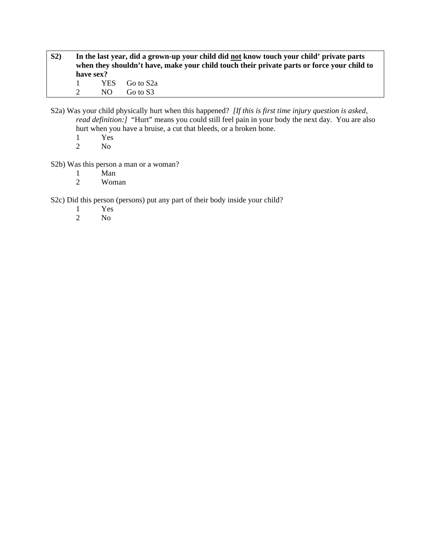- **S2) In the last year, did a grown-up your child did not know touch your child' private parts when they shouldn't have, make your child touch their private parts or force your child to have sex?**  1 YES Go to S2a 2 NO Go to S3
- S2a) Was your child physically hurt when this happened? *[If this is first time injury question is asked, read definition:]* "Hurt" means you could still feel pain in your body the next day. You are also hurt when you have a bruise, a cut that bleeds, or a broken bone.
	- 1 Yes<br>2 No
	- No.

# S2b) Was this person a man or a woman?

- 1 Man<br>2 Wom
- Woman

S2c) Did this person (persons) put any part of their body inside your child?

- 1 Yes<br>2 No
- N<sub>o</sub>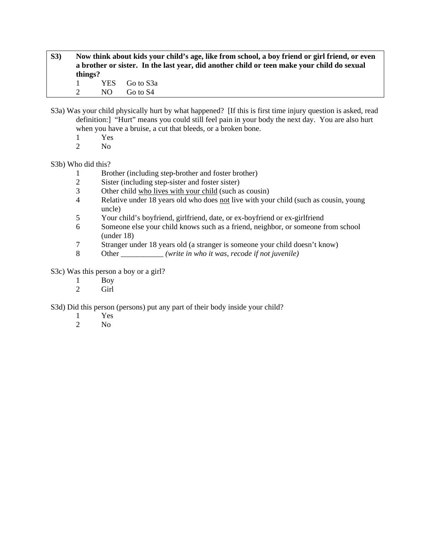- **S3) Now think about kids your child's age, like from school, a boy friend or girl friend, or even a brother or sister. In the last year, did another child or teen make your child do sexual things?**  1 YES Go to S3a 2 NO Go to S4
- S3a) Was your child physically hurt by what happened? [If this is first time injury question is asked, read definition:] "Hurt" means you could still feel pain in your body the next day. You are also hurt when you have a bruise, a cut that bleeds, or a broken bone.
	- 1 Yes
	- 2 No

# S3b) Who did this?

- 1 Brother (including step-brother and foster brother)
- 2 Sister (including step-sister and foster sister)<br>3 Other child who lives with your child (such a
- Other child who lives with your child (such as cousin)
- 4 Relative under 18 years old who does not live with your child (such as cousin, young uncle)
- 5 Your child's boyfriend, girlfriend, date, or ex-boyfriend or ex-girlfriend
- 6 Someone else your child knows such as a friend, neighbor, or someone from school (under 18)
- 7 Stranger under 18 years old (a stranger is someone your child doesn't know)
- 8 Other \_\_\_\_\_\_\_\_\_\_\_ *(write in who it was, recode if not juvenile)*

S3c) Was this person a boy or a girl?

- 1 Boy
- 2 Girl

S3d) Did this person (persons) put any part of their body inside your child?

- 1 Yes
- 2 No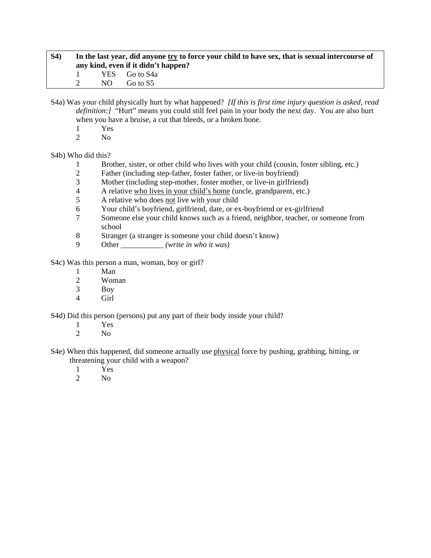| <b>S4</b> ) | In the last year, did anyone try to force your child to have sex, that is sexual intercourse of<br>any kind, even if it didn't happen? |     |               |  |
|-------------|----------------------------------------------------------------------------------------------------------------------------------------|-----|---------------|--|
|             |                                                                                                                                        |     | YES Go to S4a |  |
|             |                                                                                                                                        | NO. | Go to S5      |  |

S4a) Was your child physically hurt by what happened? *[If this is first time injury question is asked, read definition:]* "Hurt" means you could still feel pain in your body the next day. You are also hurt when you have a bruise, a cut that bleeds, or a broken bone.

- $\frac{1}{2}$  Yes
- $N<sub>0</sub>$

S4b) Who did this?

- 1 Brother, sister, or other child who lives with your child (cousin, foster sibling, etc.)
- 2 Father (including step-father, foster father, or live-in boyfriend)
- 3 Mother (including step-mother, foster mother, or live-in girlfriend)<br>4 A relative who lives in your child's home (uncle, grandparent, etc.)
- 4 A relative who lives in your child's home (uncle, grandparent, etc.)
- 5 A relative who does not live with your child
- 6 Your child's boyfriend, girlfriend, date, or ex-boyfriend or ex-girlfriend
- 7 Someone else your child knows such as a friend, neighbor, teacher, or someone from school
- 8 Stranger (a stranger is someone your child doesn't know)
- 9 Other \_\_\_\_\_\_\_\_\_\_\_ *(write in who it was)*

S4c) Was this person a man, woman, boy or girl?

- 1 Man<br>2 Wom
- Woman
- 3 Boy
- 4 Girl

S4d) Did this person (persons) put any part of their body inside your child?

- $\frac{1}{2}$  Yes
	- N<sub>o</sub>
- S4e) When this happened, did someone actually use physical force by pushing, grabbing, hitting, or threatening your child with a weapon?
	- 1 Yes
	- 2 No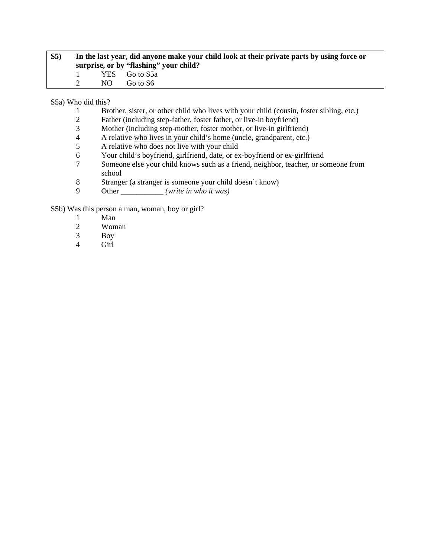| S5) | In the last year, did anyone make your child look at their private parts by using force or<br>surprise, or by "flashing" your child? |               |  |  |
|-----|--------------------------------------------------------------------------------------------------------------------------------------|---------------|--|--|
|     |                                                                                                                                      | YES Go to S5a |  |  |
|     | NO.                                                                                                                                  | Go to S6      |  |  |

S5a) Who did this?

- 1 Brother, sister, or other child who lives with your child (cousin, foster sibling, etc.)
- 2 Father (including step-father, foster father, or live-in boyfriend)<br>3 Mother (including step-mother, foster mother, or live-in girlfrien
- 3 Mother (including step-mother, foster mother, or live-in girlfriend)<br>4 A relative who lives in your child's home (uncle, grandparent, etc.)
- 4 A relative who lives in your child's home (uncle, grandparent, etc.)<br>
A relative who does not live with your child
- 5 A relative who does not live with your child
- 6 Your child's boyfriend, girlfriend, date, or ex-boyfriend or ex-girlfriend
- 7 Someone else your child knows such as a friend, neighbor, teacher, or someone from school
- 8 Stranger (a stranger is someone your child doesn't know)<br>9 Other (write in who it was)
- Other *<i>(write in who it was)*

S5b) Was this person a man, woman, boy or girl?

- 1 Man
- 2 Woman
- 3 Boy
- 4 Girl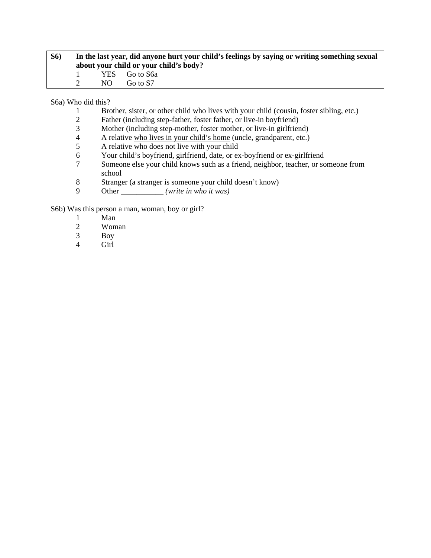| <b>S6</b> ) | In the last year, did anyone hurt your child's feelings by saying or writing something sexual<br>about your child or your child's body? |     |               |  |
|-------------|-----------------------------------------------------------------------------------------------------------------------------------------|-----|---------------|--|
|             |                                                                                                                                         |     | YES Go to S6a |  |
|             |                                                                                                                                         | NO. | Go to S7      |  |

S6a) Who did this?

- 1 Brother, sister, or other child who lives with your child (cousin, foster sibling, etc.)
- 2 Father (including step-father, foster father, or live-in boyfriend)<br>3 Mother (including step-mother, foster mother, or live-in girlfrien
- 3 Mother (including step-mother, foster mother, or live-in girlfriend)<br>4 A relative who lives in your child's home (uncle, grandparent, etc.)
- 4 A relative who lives in your child's home (uncle, grandparent, etc.)<br>
A relative who does not live with your child
- 5 A relative who does not live with your child
- 6 Your child's boyfriend, girlfriend, date, or ex-boyfriend or ex-girlfriend
- 7 Someone else your child knows such as a friend, neighbor, teacher, or someone from school
- 8 Stranger (a stranger is someone your child doesn't know)<br>9 Other (write in who it was)
- Other *<i>(write in who it was)*

S6b) Was this person a man, woman, boy or girl?

- 1 Man
- 2 Woman
- 3 Boy
- 4 Girl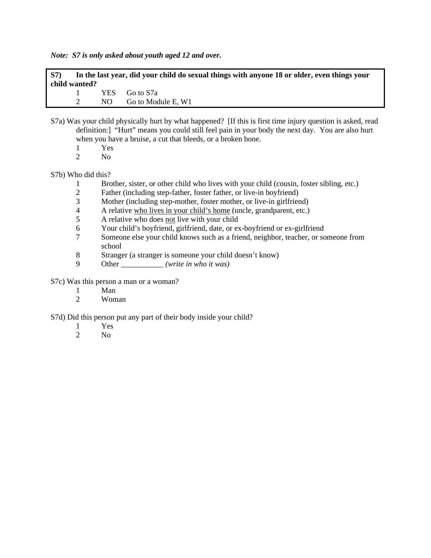*Note: S7 is only asked about youth aged 12 and over.* 

| S7) |               | In the last year, did your child do sexual things with anyone 18 or older, even things your |
|-----|---------------|---------------------------------------------------------------------------------------------|
|     | child wanted? |                                                                                             |
|     |               | YES Go to S7a                                                                               |

| NО | Go to Module E, W1 |
|----|--------------------|

- S7a) Was your child physically hurt by what happened? [If this is first time injury question is asked, read definition:] "Hurt" means you could still feel pain in your body the next day. You are also hurt when you have a bruise, a cut that bleeds, or a broken bone.
	- 1 Yes
	- 2 No

# S7b) Who did this?

- 1 Brother, sister, or other child who lives with your child (cousin, foster sibling, etc.)
- 2 Father (including step-father, foster father, or live-in boyfriend)
- 3 Mother (including step-mother, foster mother, or live-in girlfriend)
- 4 A relative who lives in your child's home (uncle, grandparent, etc.)
- 5 A relative who does not live with your child
- 6 Your child's boyfriend, girlfriend, date, or ex-boyfriend or ex-girlfriend
- 7 Someone else your child knows such as a friend, neighbor, teacher, or someone from school
- 8 Stranger (a stranger is someone your child doesn't know)<br>9 Other (write in who it was)
- Other \_\_\_\_\_\_\_\_\_\_ *(write in who it was)*

# S7c) Was this person a man or a woman?

- 1 Man<br>2 Wom
	- Woman

# S7d) Did this person put any part of their body inside your child?

- $\frac{1}{2}$  Yes
- $N<sub>0</sub>$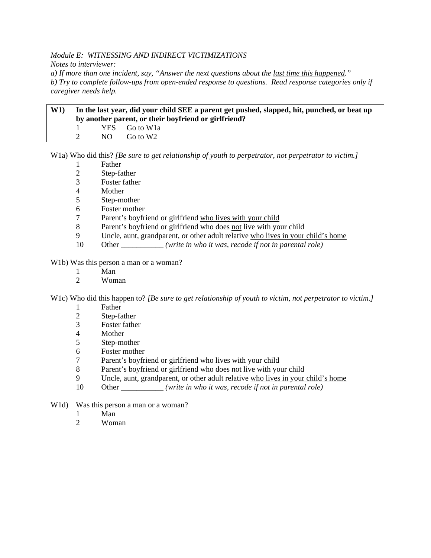# *Module E: WITNESSING AND INDIRECT VICTIMIZATIONS*

*Notes to interviewer:* 

*a) If more than one incident, say, "Answer the next questions about the last time this happened." b) Try to complete follow-ups from open-ended response to questions. Read response categories only if caregiver needs help.* 

| W1 | In the last year, did your child SEE a parent get pushed, slapped, hit, punched, or beat up<br>by another parent, or their boyfriend or girlfriend? |     |                          |  |
|----|-----------------------------------------------------------------------------------------------------------------------------------------------------|-----|--------------------------|--|
|    |                                                                                                                                                     |     | YES Go to W <sub>1</sub> |  |
|    |                                                                                                                                                     | NO. | Go to W2                 |  |

W1a) Who did this? *[Be sure to get relationship of youth to perpetrator, not perpetrator to victim.]*

- 1 Father
- 2 Step-father
- 3 Foster father
- 4 Mother
- 5 Step-mother
- 6 Foster mother
- 7 Parent's boyfriend or girlfriend who lives with your child
- 8 Parent's boyfriend or girlfriend who does not live with your child
- 9 Uncle, aunt, grandparent, or other adult relative who lives in your child's home
- 10 Other \_\_\_\_\_\_\_\_\_\_\_ *(write in who it was, recode if not in parental role)*

W1b) Was this person a man or a woman?

- 1 Man<br>2 Wom
- Woman

W1c) Who did this happen to? *[Be sure to get relationship of youth to victim, not perpetrator to victim.]*

- 1 Father
- 2 Step-father
- 3 Foster father
- 4 Mother
- 5 Step-mother
- 6 Foster mother
- 7 Parent's boyfriend or girlfriend who lives with your child
- 8 Parent's boyfriend or girlfriend who does not live with your child
- 9 Uncle, aunt, grandparent, or other adult relative who lives in your child's home
- 10 Other \_\_\_\_\_\_\_\_\_\_\_*(write in who it was, recode if not in parental role)*
- W<sub>1</sub>d) Was this person a man or a woman?
	- 1 Man
	- 2 Woman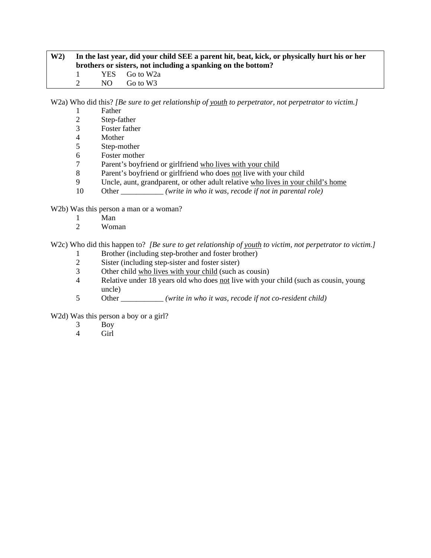| W2 | In the last year, did your child SEE a parent hit, beat, kick, or physically hurt his or her<br>brothers or sisters, not including a spanking on the bottom? |     |               |  |
|----|--------------------------------------------------------------------------------------------------------------------------------------------------------------|-----|---------------|--|
|    | and the state                                                                                                                                                |     | YES Go to W2a |  |
|    |                                                                                                                                                              | NO. | Go to W3      |  |

W2a) Who did this? *[Be sure to get relationship of youth to perpetrator, not perpetrator to victim.]*

- 1 Father
- 2 Step-father<br>3 Foster fathe
- Foster father
- 4 Mother
- 5 Step-mother
- 6 Foster mother
- 7 Parent's boyfriend or girlfriend who lives with your child
- 8 Parent's boyfriend or girlfriend who does not live with your child
- 9 Uncle, aunt, grandparent, or other adult relative who lives in your child's home
- 10 Other *<i>(write in who it was, recode if not in parental role)*

W2b) Was this person a man or a woman?

- 1 Man
- 2 Woman

W2c) Who did this happen to? *[Be sure to get relationship of youth to victim, not perpetrator to victim.]* 

- 1 Brother (including step-brother and foster brother)<br>2 Sister (including step-sister and foster sister)
- Sister (including step-sister and foster sister)
- 3 Other child who lives with your child (such as cousin)
- 4 Relative under 18 years old who does not live with your child (such as cousin, young uncle)
- 5 Other \_\_\_\_\_\_\_\_\_\_\_ *(write in who it was, recode if not co-resident child)*

W<sub>2</sub>d) Was this person a boy or a girl?

- 3 Boy<br>4 Girl
- Girl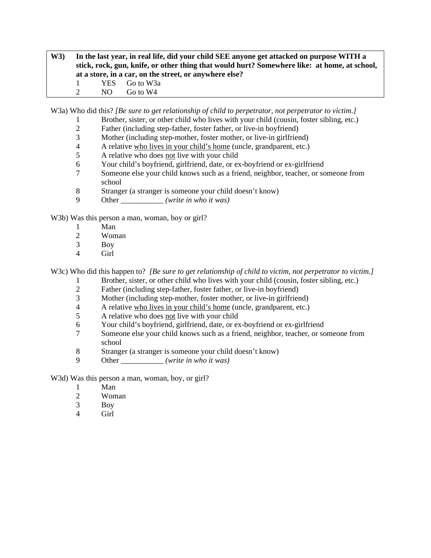**W3) In the last year, in real life, did your child SEE anyone get attacked on purpose WITH a stick, rock, gun, knife, or other thing that would hurt? Somewhere like: at home, at school, at a store, in a car, on the street, or anywhere else?**  1 YES Go to W3a 2 NO Go to W4

W3a) Who did this? *[Be sure to get relationship of child to perpetrator, not perpetrator to victim.]*

- 1 Brother, sister, or other child who lives with your child (cousin, foster sibling, etc.)<br>2 Father (including step-father, foster father, or live-in bovfriend)
- 2 Father (including step-father, foster father, or live-in boyfriend)<br>3 Mother (including step-mother, foster mother, or live-in girlfrien
- Mother (including step-mother, foster mother, or live-in girlfriend)
- 4 A relative who lives in your child's home (uncle, grandparent, etc.)
- 5 A relative who does not live with your child
- 6 Your child's boyfriend, girlfriend, date, or ex-boyfriend or ex-girlfriend
- 7 Someone else your child knows such as a friend, neighbor, teacher, or someone from school
- 8 Stranger (a stranger is someone your child doesn't know)
- 9 Other \_\_\_\_\_\_\_\_\_\_\_ *(write in who it was)*

W<sub>3</sub>b) Was this person a man, woman, boy or girl?

- 1 Man
- 2 Woman
- 3 Boy
- 4 Girl

W3c) Who did this happen to? *[Be sure to get relationship of child to victim, not perpetrator to victim.]* 

- 1 Brother, sister, or other child who lives with your child (cousin, foster sibling, etc.)
- 2 Father (including step-father, foster father, or live-in boyfriend)
- 3 Mother (including step-mother, foster mother, or live-in girlfriend)
- 4 A relative who lives in your child's home (uncle, grandparent, etc.)
- 5 A relative who does not live with your child
- 6 Your child's boyfriend, girlfriend, date, or ex-boyfriend or ex-girlfriend
- 7 Someone else your child knows such as a friend, neighbor, teacher, or someone from school
- 8 Stranger (a stranger is someone your child doesn't know)
- 9 Other \_\_\_\_\_\_\_\_\_\_\_ *(write in who it was)*

W3d) Was this person a man, woman, boy, or girl?

- 1 Man<br>2 Wom
- Woman
- 3 Boy
- 4 Girl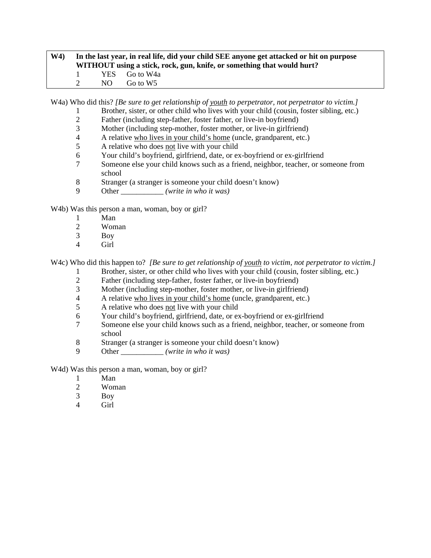# **W4) In the last year, in real life, did your child SEE anyone get attacked or hit on purpose WITHOUT using a stick, rock, gun, knife, or something that would hurt?**  1 YES Go to W4a 2 NO Go to W5

W4a) Who did this? *[Be sure to get relationship of youth to perpetrator, not perpetrator to victim.]* 

- 1 Brother, sister, or other child who lives with your child (cousin, foster sibling, etc.)
- 2 Father (including step-father, foster father, or live-in boyfriend)<br>3 Mother (including step-mother, foster mother, or live-in girlfrien
- Mother (including step-mother, foster mother, or live-in girlfriend)
- 4 A relative who lives in your child's home (uncle, grandparent, etc.)
- 5 A relative who does not live with your child
- 6 Your child's boyfriend, girlfriend, date, or ex-boyfriend or ex-girlfriend
- 7 Someone else your child knows such as a friend, neighbor, teacher, or someone from school
- 8 Stranger (a stranger is someone your child doesn't know)
- 9 Other \_\_\_\_\_\_\_\_\_\_\_ *(write in who it was)*

W4b) Was this person a man, woman, boy or girl?

- 1 Man
- 2 Woman
- 3 Boy
- 4 Girl

W4c) Who did this happen to? *[Be sure to get relationship of youth to victim, not perpetrator to victim.]* 

- 1 Brother, sister, or other child who lives with your child (cousin, foster sibling, etc.)<br>2 Father (including step-father, foster father, or live-in bovfriend)
- Father (including step-father, foster father, or live-in boyfriend)
- 3 Mother (including step-mother, foster mother, or live-in girlfriend)
- 4 A relative who lives in your child's home (uncle, grandparent, etc.)
- 5 A relative who does not live with your child
- 6 Your child's boyfriend, girlfriend, date, or ex-boyfriend or ex-girlfriend
- 7 Someone else your child knows such as a friend, neighbor, teacher, or someone from school
- 8 Stranger (a stranger is someone your child doesn't know)
- 9 Other \_\_\_\_\_\_\_\_\_\_\_ *(write in who it was)*

W<sub>4</sub>d) Was this person a man, woman, boy or girl?

- 1 Man
- 2 Woman<br>3 Boy
- Boy
- 4 Girl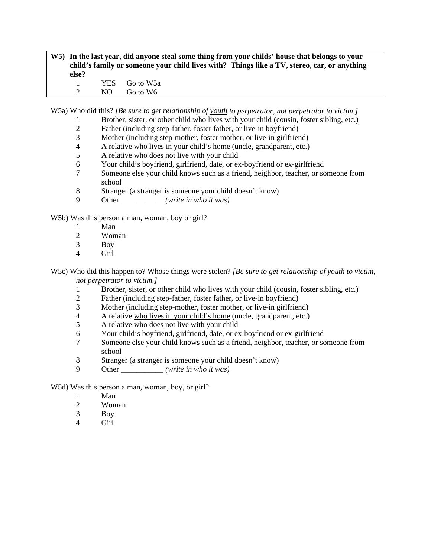### **W5) In the last year, did anyone steal some thing from your childs' house that belongs to your child's family or someone your child lives with? Things like a TV, stereo, car, or anything else?**  1 YES Go to W5a

2 NO Go to W6

W5a) Who did this? *[Be sure to get relationship of youth to perpetrator, not perpetrator to victim.]*

- 1 Brother, sister, or other child who lives with your child (cousin, foster sibling, etc.)<br>2 Father (including step-father, foster father, or live-in bovfriend)
- 2 Father (including step-father, foster father, or live-in boyfriend)<br>3 Mother (including step-mother, foster mother, or live-in girlfrien
- Mother (including step-mother, foster mother, or live-in girlfriend)
- 4 A relative who lives in your child's home (uncle, grandparent, etc.)
- 5 A relative who does not live with your child
- 6 Your child's boyfriend, girlfriend, date, or ex-boyfriend or ex-girlfriend
- 7 Someone else your child knows such as a friend, neighbor, teacher, or someone from school
- 8 Stranger (a stranger is someone your child doesn't know)
- 9 Other \_\_\_\_\_\_\_\_\_\_\_ *(write in who it was)*

W<sub>5</sub>b) Was this person a man, woman, boy or girl?

- 1 Man
- 2 Woman
- 3 Boy
- 4 Girl

W5c) Who did this happen to? Whose things were stolen? *[Be sure to get relationship of youth to victim, not perpetrator to victim.]*

- 1 Brother, sister, or other child who lives with your child (cousin, foster sibling, etc.)
- 2 Father (including step-father, foster father, or live-in boyfriend)
- 3 Mother (including step-mother, foster mother, or live-in girlfriend)
- 4 A relative who lives in your child's home (uncle, grandparent, etc.)
- 5 A relative who does not live with your child
- 6 Your child's boyfriend, girlfriend, date, or ex-boyfriend or ex-girlfriend
- 7 Someone else your child knows such as a friend, neighbor, teacher, or someone from school
- 8 Stranger (a stranger is someone your child doesn't know)
- 9 Other \_\_\_\_\_\_\_\_\_\_\_ *(write in who it was)*
- W5d) Was this person a man, woman, boy, or girl?
	- 1 Man
	- 2 Woman
	- 3 Boy
	- 4 Girl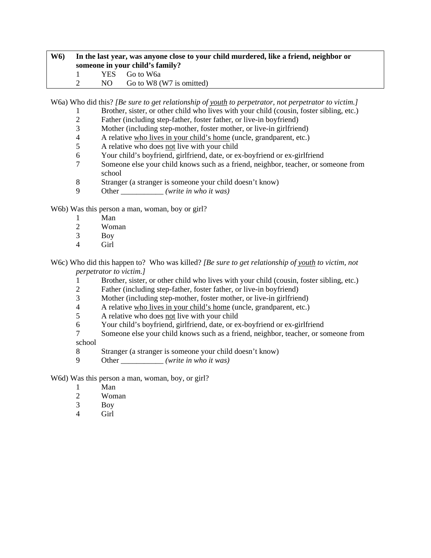# **W6) In the last year, was anyone close to your child murdered, like a friend, neighbor or someone in your child's family?**  1 YES Go to W6a 2 NO Go to W8 (W7 is omitted)

W6a) Who did this? *[Be sure to get relationship of youth to perpetrator, not perpetrator to victim.]*

- 1 Brother, sister, or other child who lives with your child (cousin, foster sibling, etc.)
- 2 Father (including step-father, foster father, or live-in boyfriend)<br>3 Mother (including step-mother, foster mother, or live-in girlfrien
- Mother (including step-mother, foster mother, or live-in girlfriend)
- 4 A relative who lives in your child's home (uncle, grandparent, etc.)
- 5 A relative who does not live with your child
- 6 Your child's boyfriend, girlfriend, date, or ex-boyfriend or ex-girlfriend
- 7 Someone else your child knows such as a friend, neighbor, teacher, or someone from school
- 8 Stranger (a stranger is someone your child doesn't know)
- 9 Other \_\_\_\_\_\_\_\_\_\_\_ *(write in who it was)*

W6b) Was this person a man, woman, boy or girl?

- 1 Man
- 2 Woman
- 3 Boy
- 4 Girl

W6c) Who did this happen to? Who was killed? *[Be sure to get relationship of youth to victim, not perpetrator to victim.]*

- 1 Brother, sister, or other child who lives with your child (cousin, foster sibling, etc.)
- 2 Father (including step-father, foster father, or live-in boyfriend)
- 3 Mother (including step-mother, foster mother, or live-in girlfriend)
- 4 A relative who lives in your child's home (uncle, grandparent, etc.)
- 5 A relative who does not live with your child
- 6 Your child's boyfriend, girlfriend, date, or ex-boyfriend or ex-girlfriend
- 7 Someone else your child knows such as a friend, neighbor, teacher, or someone from

school

- 8 Stranger (a stranger is someone your child doesn't know)
- 9 Other \_\_\_\_\_\_\_\_\_\_\_ *(write in who it was)*

W6d) Was this person a man, woman, boy, or girl?

- 1 Man<br>2 Wom
- Woman
- 3 Boy
- 4 Girl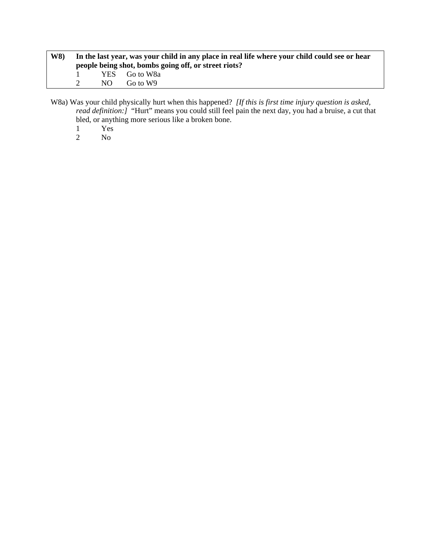| <b>W8</b> ) | In the last year, was your child in any place in real life where your child could see or hear<br>people being shot, bombs going off, or street riots? |     |               |  |
|-------------|-------------------------------------------------------------------------------------------------------------------------------------------------------|-----|---------------|--|
|             |                                                                                                                                                       |     | YES Go to W8a |  |
|             | $\mathcal{D}$                                                                                                                                         | NO. | Go to W9      |  |

W8a) Was your child physically hurt when this happened? *[If this is first time injury question is asked, read definition:]* "Hurt" means you could still feel pain the next day, you had a bruise, a cut that bled, or anything more serious like a broken bone.

- 1 Yes<br>2 No
- No.